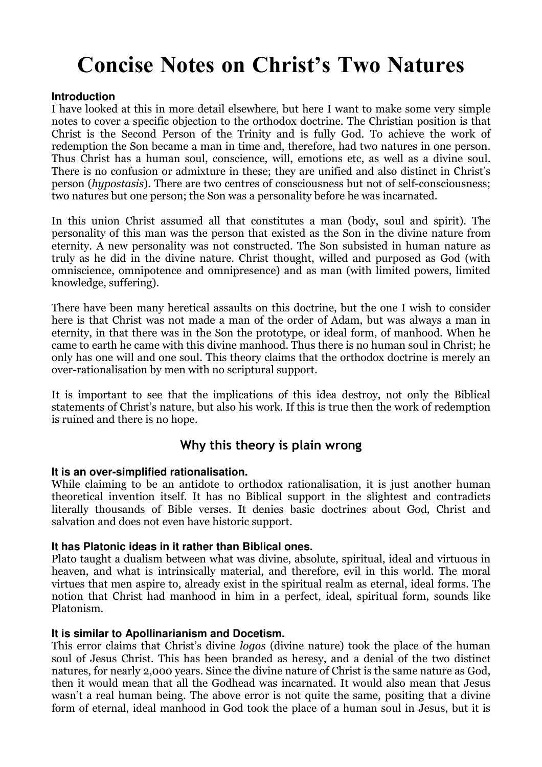# Concise Notes on Christ's Two Natures

## **Introduction**

I have looked at this in more detail elsewhere, but here I want to make some very simple notes to cover a specific objection to the orthodox doctrine. The Christian position is that Christ is the Second Person of the Trinity and is fully God. To achieve the work of redemption the Son became a man in time and, therefore, had two natures in one person. Thus Christ has a human soul, conscience, will, emotions etc, as well as a divine soul. There is no confusion or admixture in these; they are unified and also distinct in Christ's person (hypostasis). There are two centres of consciousness but not of self-consciousness; two natures but one person; the Son was a personality before he was incarnated.

In this union Christ assumed all that constitutes a man (body, soul and spirit). The personality of this man was the person that existed as the Son in the divine nature from eternity. A new personality was not constructed. The Son subsisted in human nature as truly as he did in the divine nature. Christ thought, willed and purposed as God (with omniscience, omnipotence and omnipresence) and as man (with limited powers, limited knowledge, suffering).

There have been many heretical assaults on this doctrine, but the one I wish to consider here is that Christ was not made a man of the order of Adam, but was always a man in eternity, in that there was in the Son the prototype, or ideal form, of manhood. When he came to earth he came with this divine manhood. Thus there is no human soul in Christ; he only has one will and one soul. This theory claims that the orthodox doctrine is merely an over-rationalisation by men with no scriptural support.

It is important to see that the implications of this idea destroy, not only the Biblical statements of Christ's nature, but also his work. If this is true then the work of redemption is ruined and there is no hope.

# Why this theory is plain wrong

## **It is an over-simplified rationalisation.**

While claiming to be an antidote to orthodox rationalisation, it is just another human theoretical invention itself. It has no Biblical support in the slightest and contradicts literally thousands of Bible verses. It denies basic doctrines about God, Christ and salvation and does not even have historic support.

## **It has Platonic ideas in it rather than Biblical ones.**

Plato taught a dualism between what was divine, absolute, spiritual, ideal and virtuous in heaven, and what is intrinsically material, and therefore, evil in this world. The moral virtues that men aspire to, already exist in the spiritual realm as eternal, ideal forms. The notion that Christ had manhood in him in a perfect, ideal, spiritual form, sounds like Platonism.

## **It is similar to Apollinarianism and Docetism.**

This error claims that Christ's divine *logos* (divine nature) took the place of the human soul of Jesus Christ. This has been branded as heresy, and a denial of the two distinct natures, for nearly 2,000 years. Since the divine nature of Christ is the same nature as God, then it would mean that all the Godhead was incarnated. It would also mean that Jesus wasn't a real human being. The above error is not quite the same, positing that a divine form of eternal, ideal manhood in God took the place of a human soul in Jesus, but it is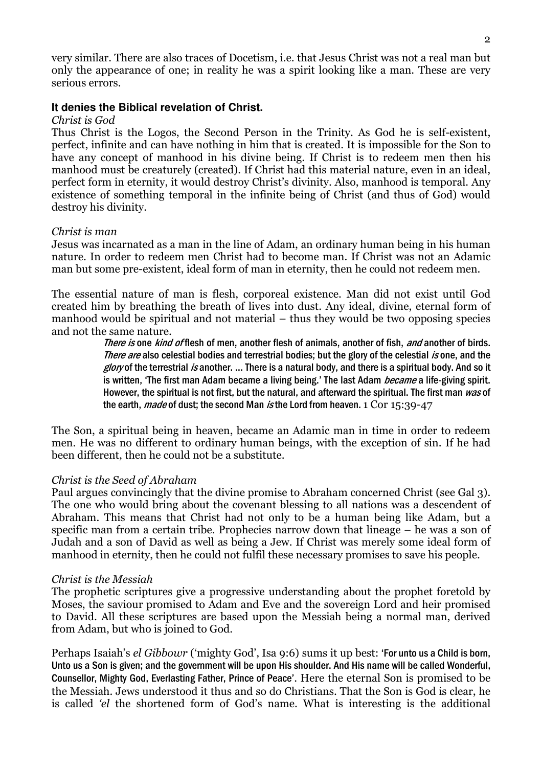very similar. There are also traces of Docetism, i.e. that Jesus Christ was not a real man but only the appearance of one; in reality he was a spirit looking like a man. These are very serious errors.

## **It denies the Biblical revelation of Christ.**

## Christ is God

Thus Christ is the Logos, the Second Person in the Trinity. As God he is self-existent, perfect, infinite and can have nothing in him that is created. It is impossible for the Son to have any concept of manhood in his divine being. If Christ is to redeem men then his manhood must be creaturely (created). If Christ had this material nature, even in an ideal, perfect form in eternity, it would destroy Christ's divinity. Also, manhood is temporal. Any existence of something temporal in the infinite being of Christ (and thus of God) would destroy his divinity.

#### Christ is man

Jesus was incarnated as a man in the line of Adam, an ordinary human being in his human nature. In order to redeem men Christ had to become man. If Christ was not an Adamic man but some pre-existent, ideal form of man in eternity, then he could not redeem men.

The essential nature of man is flesh, corporeal existence. Man did not exist until God created him by breathing the breath of lives into dust. Any ideal, divine, eternal form of manhood would be spiritual and not material – thus they would be two opposing species and not the same nature.

> There is one kind of flesh of men, another flesh of animals, another of fish, and another of birds. There are also celestial bodies and terrestrial bodies; but the glory of the celestial is one, and the glory of the terrestrial is another. ... There is a natural body, and there is a spiritual body. And so it is written, 'The first man Adam became a living being.' The last Adam *became* a life-giving spirit. However, the spiritual is not first, but the natural, and afterward the spiritual. The first man was of the earth, *made* of dust; the second Man *is* the Lord from heaven. 1 Cor 15:39-47

The Son, a spiritual being in heaven, became an Adamic man in time in order to redeem men. He was no different to ordinary human beings, with the exception of sin. If he had been different, then he could not be a substitute.

### Christ is the Seed of Abraham

Paul argues convincingly that the divine promise to Abraham concerned Christ (see Gal 3). The one who would bring about the covenant blessing to all nations was a descendent of Abraham. This means that Christ had not only to be a human being like Adam, but a specific man from a certain tribe. Prophecies narrow down that lineage – he was a son of Judah and a son of David as well as being a Jew. If Christ was merely some ideal form of manhood in eternity, then he could not fulfil these necessary promises to save his people.

#### Christ is the Messiah

The prophetic scriptures give a progressive understanding about the prophet foretold by Moses, the saviour promised to Adam and Eve and the sovereign Lord and heir promised to David. All these scriptures are based upon the Messiah being a normal man, derived from Adam, but who is joined to God.

Perhaps Isaiah's el Gibbowr ('mighty God', Isa 9:6) sums it up best: 'For unto us a Child is born, Unto us a Son is given; and the government will be upon His shoulder. And His name will be called Wonderful, Counsellor, Mighty God, Everlasting Father, Prince of Peace'. Here the eternal Son is promised to be the Messiah. Jews understood it thus and so do Christians. That the Son is God is clear, he is called 'el the shortened form of God's name. What is interesting is the additional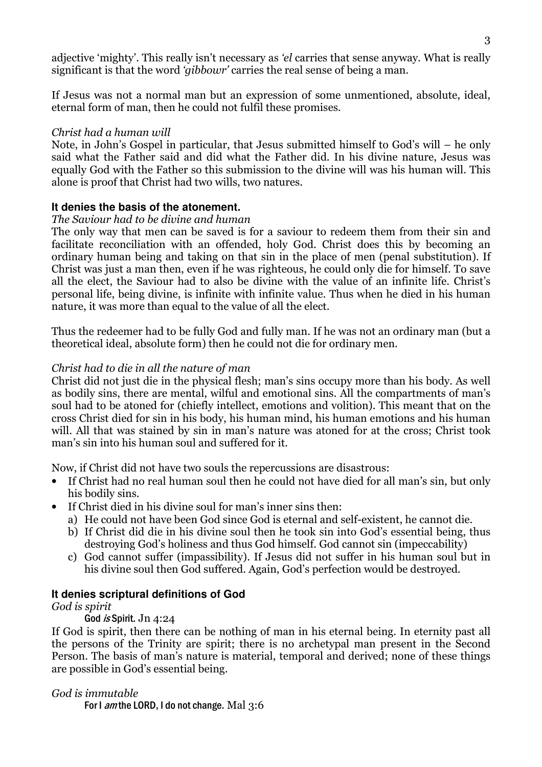adjective 'mighty'. This really isn't necessary as 'el carries that sense anyway. What is really significant is that the word 'gibbowr' carries the real sense of being a man.

If Jesus was not a normal man but an expression of some unmentioned, absolute, ideal, eternal form of man, then he could not fulfil these promises.

## Christ had a human will

Note, in John's Gospel in particular, that Jesus submitted himself to God's will – he only said what the Father said and did what the Father did. In his divine nature, Jesus was equally God with the Father so this submission to the divine will was his human will. This alone is proof that Christ had two wills, two natures.

## **It denies the basis of the atonement.**

## The Saviour had to be divine and human

The only way that men can be saved is for a saviour to redeem them from their sin and facilitate reconciliation with an offended, holy God. Christ does this by becoming an ordinary human being and taking on that sin in the place of men (penal substitution). If Christ was just a man then, even if he was righteous, he could only die for himself. To save all the elect, the Saviour had to also be divine with the value of an infinite life. Christ's personal life, being divine, is infinite with infinite value. Thus when he died in his human nature, it was more than equal to the value of all the elect.

Thus the redeemer had to be fully God and fully man. If he was not an ordinary man (but a theoretical ideal, absolute form) then he could not die for ordinary men.

# Christ had to die in all the nature of man

Christ did not just die in the physical flesh; man's sins occupy more than his body. As well as bodily sins, there are mental, wilful and emotional sins. All the compartments of man's soul had to be atoned for (chiefly intellect, emotions and volition). This meant that on the cross Christ died for sin in his body, his human mind, his human emotions and his human will. All that was stained by sin in man's nature was atoned for at the cross; Christ took man's sin into his human soul and suffered for it.

Now, if Christ did not have two souls the repercussions are disastrous:

- If Christ had no real human soul then he could not have died for all man's sin, but only his bodily sins.
- If Christ died in his divine soul for man's inner sins then:
	- a) He could not have been God since God is eternal and self-existent, he cannot die.
	- b) If Christ did die in his divine soul then he took sin into God's essential being, thus destroying God's holiness and thus God himself. God cannot sin (impeccability)
	- c) God cannot suffer (impassibility). If Jesus did not suffer in his human soul but in his divine soul then God suffered. Again, God's perfection would be destroyed.

# **It denies scriptural definitions of God**

# God is spirit

## God is Spirit. Jn 4:24

If God is spirit, then there can be nothing of man in his eternal being. In eternity past all the persons of the Trinity are spirit; there is no archetypal man present in the Second Person. The basis of man's nature is material, temporal and derived; none of these things are possible in God's essential being.

God is immutable For I *am* the LORD, I do not change. Mal 3:6